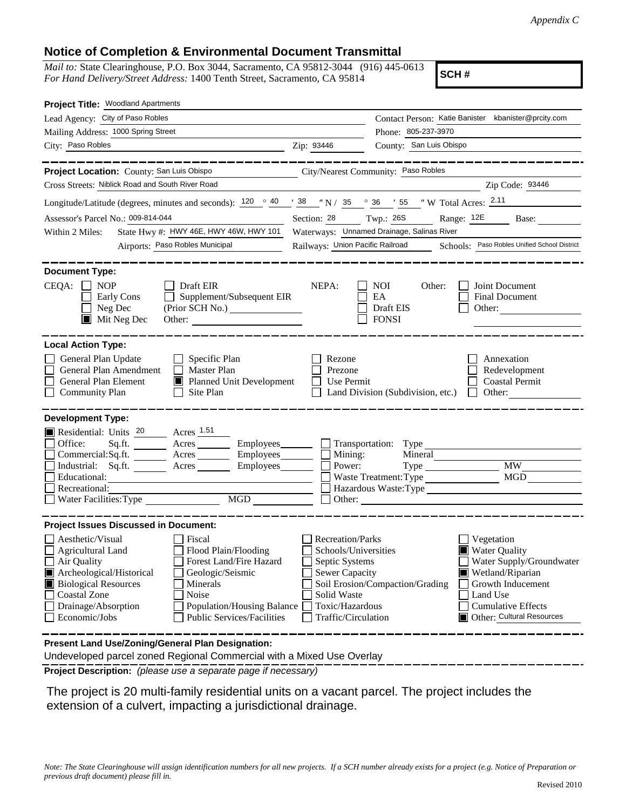## **Notice of Completion & Environmental Document Transmittal**

*Mail to:* State Clearinghouse, P.O. Box 3044, Sacramento, CA 95812-3044 (916) 445-0613 *For Hand Delivery/Street Address:* 1400 Tenth Street, Sacramento, CA 95814

**SCH #**

| Project Title: Woodland Apartments                                                                                                                                                                                                                                                                                                                      |                                                                                                                                              |                                                         |                                                                                                                                                                                      |
|---------------------------------------------------------------------------------------------------------------------------------------------------------------------------------------------------------------------------------------------------------------------------------------------------------------------------------------------------------|----------------------------------------------------------------------------------------------------------------------------------------------|---------------------------------------------------------|--------------------------------------------------------------------------------------------------------------------------------------------------------------------------------------|
| Lead Agency: City of Paso Robles                                                                                                                                                                                                                                                                                                                        |                                                                                                                                              |                                                         | Contact Person: Katie Banister kbanister@prcity.com                                                                                                                                  |
| Mailing Address: 1000 Spring Street                                                                                                                                                                                                                                                                                                                     |                                                                                                                                              | Phone: 805-237-3970                                     |                                                                                                                                                                                      |
| City: Paso Robles<br><u> 1980 - Johann Barbara, martin da kasar Amerikaansk politik (</u>                                                                                                                                                                                                                                                               | Zip: 93446                                                                                                                                   | County: San Luis Obispo                                 |                                                                                                                                                                                      |
|                                                                                                                                                                                                                                                                                                                                                         |                                                                                                                                              |                                                         |                                                                                                                                                                                      |
| Project Location: County: San Luis Obispo                                                                                                                                                                                                                                                                                                               |                                                                                                                                              | City/Nearest Community: Paso Robles                     |                                                                                                                                                                                      |
| Cross Streets: Niblick Road and South River Road                                                                                                                                                                                                                                                                                                        |                                                                                                                                              |                                                         | Zip Code: 93446                                                                                                                                                                      |
| Longitude/Latitude (degrees, minutes and seconds): $120 \degree 40$ / $38 \degree$ N / $35 \degree 36$ / $55 \degree$ W Total Acres: $2.11$                                                                                                                                                                                                             |                                                                                                                                              |                                                         |                                                                                                                                                                                      |
| Assessor's Parcel No.: 009-814-044                                                                                                                                                                                                                                                                                                                      | Section: 28 Twp.: 26S                                                                                                                        |                                                         | Range: 12E Base:                                                                                                                                                                     |
| State Hwy #: HWY 46E, HWY 46W, HWY 101<br>Within 2 Miles:                                                                                                                                                                                                                                                                                               |                                                                                                                                              | Waterways: Unnamed Drainage, Salinas River              |                                                                                                                                                                                      |
| Airports: Paso Robles Municipal                                                                                                                                                                                                                                                                                                                         |                                                                                                                                              |                                                         | Railways: Union Pacific Railroad Schools: Paso Robles Unified School District                                                                                                        |
| <b>Document Type:</b><br>CEQA:<br>$\Box$ NOP<br>$\Box$ Draft EIR<br>Supplement/Subsequent EIR<br>Early Cons<br>$\Box$<br>Neg Dec<br>(Prior SCH No.)<br>$\blacksquare$ Mit Neg Dec<br>Other:                                                                                                                                                             | NEPA:                                                                                                                                        | <b>NOI</b><br>Other:<br>EA<br>Draft EIS<br><b>FONSI</b> | Joint Document<br><b>Final Document</b><br>Other:                                                                                                                                    |
| <b>Local Action Type:</b><br>General Plan Update<br>$\Box$ Specific Plan<br>General Plan Amendment<br>Master Plan<br>$\perp$<br><b>General Plan Element</b><br>Planned Unit Development<br>$\Box$ Community Plan<br>Site Plan<br>$\perp$                                                                                                                | Rezone<br>Prezone<br>Use Permit                                                                                                              | Land Division (Subdivision, etc.) $\Box$                | Annexation<br>Redevelopment<br><b>Coastal Permit</b><br>Other:                                                                                                                       |
| <b>Development Type:</b>                                                                                                                                                                                                                                                                                                                                |                                                                                                                                              |                                                         |                                                                                                                                                                                      |
| Residential: Units 20 Acres 1.51<br>Office:<br>Commercial:Sq.ft. ________ Acres _______<br>Industrial: Sq.ft. _______ Acres _______<br>Educational:<br>Recreational:<br>Water Facilities: Type                                                                                                                                                          | Employees_________ Transportation: Type _________<br>Mining:<br>Employees_______<br>Power:                                                   | Mineral<br>Waste Treatment: Type                        | <b>MW</b><br><b>MGD</b><br>Hazardous Waste: Type<br>Other:                                                                                                                           |
| <b>Project Issues Discussed in Document:</b>                                                                                                                                                                                                                                                                                                            |                                                                                                                                              |                                                         |                                                                                                                                                                                      |
| Aesthetic/Visual<br>Fiscal<br>$\Box$ Agricultural Land<br>Flood Plain/Flooding<br>Forest Land/Fire Hazard<br>Air Quality<br>Archeological/Historical<br>Geologic/Seismic<br><b>Biological Resources</b><br>Minerals<br>Coastal Zone<br>Noise<br>Drainage/Absorption<br>Population/Housing Balance<br>Economic/Jobs<br><b>Public Services/Facilities</b> | <b>Recreation/Parks</b><br>Schools/Universities<br>Septic Systems<br>Sewer Capacity<br>Solid Waste<br>Toxic/Hazardous<br>Traffic/Circulation | Soil Erosion/Compaction/Grading                         | <b>Vegetation</b><br><b>Water Quality</b><br>Water Supply/Groundwater<br>Wetland/Riparian<br>Growth Inducement<br>Land Use<br><b>Cumulative Effects</b><br>Other: Cultural Resources |
| Present Land Use/Zoning/General Plan Designation:<br>Undeveloped parcel zoned Regional Commercial with a Mixed Use Overlay                                                                                                                                                                                                                              |                                                                                                                                              |                                                         |                                                                                                                                                                                      |

**Project Description:** *(please use a separate page if necessary)*

 The project is 20 multi-family residential units on a vacant parcel. The project includes the extension of a culvert, impacting a jurisdictional drainage.